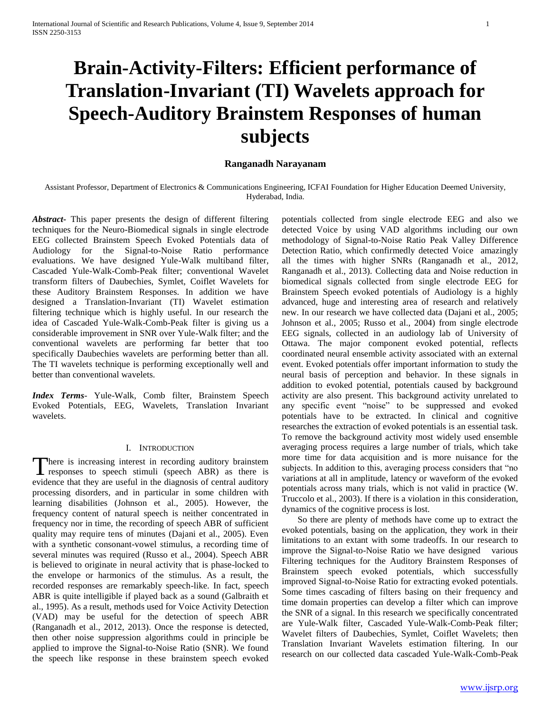# **Brain-Activity-Filters: Efficient performance of Translation-Invariant (TI) Wavelets approach for Speech-Auditory Brainstem Responses of human subjects**

# **Ranganadh Narayanam**

Assistant Professor, Department of Electronics & Communications Engineering, ICFAI Foundation for Higher Education Deemed University, Hyderabad, India.

*Abstract***-** This paper presents the design of different filtering techniques for the Neuro-Biomedical signals in single electrode EEG collected Brainstem Speech Evoked Potentials data of Audiology for the Signal-to-Noise Ratio performance evaluations. We have designed Yule-Walk multiband filter, Cascaded Yule-Walk-Comb-Peak filter; conventional Wavelet transform filters of Daubechies, Symlet, Coiflet Wavelets for these Auditory Brainstem Responses. In addition we have designed a Translation-Invariant (TI) Wavelet estimation filtering technique which is highly useful. In our research the idea of Cascaded Yule-Walk-Comb-Peak filter is giving us a considerable improvement in SNR over Yule-Walk filter; and the conventional wavelets are performing far better that too specifically Daubechies wavelets are performing better than all. The TI wavelets technique is performing exceptionally well and better than conventional wavelets.

*Index Terms*- Yule-Walk, Comb filter, Brainstem Speech Evoked Potentials, EEG, Wavelets, Translation Invariant wavelets.

# I. INTRODUCTION

here is increasing interest in recording auditory brainstem There is increasing interest in recording auditory brainstem<br>responses to speech stimuli (speech ABR) as there is evidence that they are useful in the diagnosis of central auditory processing disorders, and in particular in some children with learning disabilities (Johnson et al., 2005). However, the frequency content of natural speech is neither concentrated in frequency nor in time, the recording of speech ABR of sufficient quality may require tens of minutes (Dajani et al., 2005). Even with a synthetic consonant-vowel stimulus, a recording time of several minutes was required (Russo et al., 2004). Speech ABR is believed to originate in neural activity that is phase-locked to the envelope or harmonics of the stimulus. As a result, the recorded responses are remarkably speech-like. In fact, speech ABR is quite intelligible if played back as a sound (Galbraith et al., 1995). As a result, methods used for Voice Activity Detection (VAD) may be useful for the detection of speech ABR (Ranganadh et al., 2012, 2013). Once the response is detected, then other noise suppression algorithms could in principle be applied to improve the Signal-to-Noise Ratio (SNR). We found the speech like response in these brainstem speech evoked

potentials collected from single electrode EEG and also we detected Voice by using VAD algorithms including our own methodology of Signal-to-Noise Ratio Peak Valley Difference Detection Ratio, which confirmedly detected Voice amazingly all the times with higher SNRs (Ranganadh et al., 2012, Ranganadh et al., 2013). Collecting data and Noise reduction in biomedical signals collected from single electrode EEG for Brainstem Speech evoked potentials of Audiology is a highly advanced, huge and interesting area of research and relatively new. In our research we have collected data (Dajani et al., 2005; Johnson et al., 2005; Russo et al., 2004) from single electrode EEG signals, collected in an audiology lab of University of Ottawa. The major component evoked potential, reflects coordinated neural ensemble activity associated with an external event. Evoked potentials offer important information to study the neural basis of perception and behavior. In these signals in addition to evoked potential, potentials caused by background activity are also present. This background activity unrelated to any specific event "noise" to be suppressed and evoked potentials have to be extracted. In clinical and cognitive researches the extraction of evoked potentials is an essential task. To remove the background activity most widely used ensemble averaging process requires a large number of trials, which take more time for data acquisition and is more nuisance for the subjects. In addition to this, averaging process considers that "no variations at all in amplitude, latency or waveform of the evoked potentials across many trials, which is not valid in practice (W. Truccolo et al., 2003). If there is a violation in this consideration, dynamics of the cognitive process is lost.

 So there are plenty of methods have come up to extract the evoked potentials, basing on the application, they work in their limitations to an extant with some tradeoffs. In our research to improve the Signal-to-Noise Ratio we have designed various Filtering techniques for the Auditory Brainstem Responses of Brainstem speech evoked potentials, which successfully improved Signal-to-Noise Ratio for extracting evoked potentials. Some times cascading of filters basing on their frequency and time domain properties can develop a filter which can improve the SNR of a signal. In this research we specifically concentrated are Yule-Walk filter, Cascaded Yule-Walk-Comb-Peak filter; Wavelet filters of Daubechies, Symlet, Coiflet Wavelets; then Translation Invariant Wavelets estimation filtering. In our research on our collected data cascaded Yule-Walk-Comb-Peak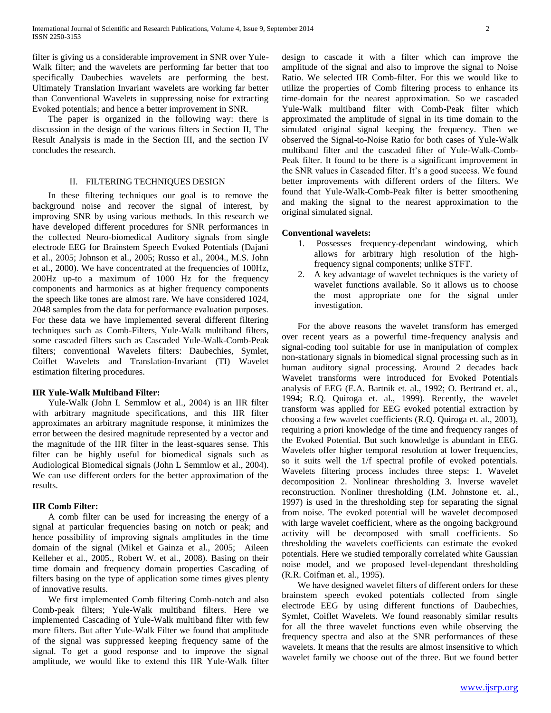filter is giving us a considerable improvement in SNR over Yule-Walk filter; and the wavelets are performing far better that too specifically Daubechies wavelets are performing the best. Ultimately Translation Invariant wavelets are working far better than Conventional Wavelets in suppressing noise for extracting Evoked potentials; and hence a better improvement in SNR.

 The paper is organized in the following way: there is discussion in the design of the various filters in Section II, The Result Analysis is made in the Section III, and the section IV concludes the research.

## II. FILTERING TECHNIQUES DESIGN

 In these filtering techniques our goal is to remove the background noise and recover the signal of interest, by improving SNR by using various methods. In this research we have developed different procedures for SNR performances in the collected Neuro-biomedical Auditory signals from single electrode EEG for Brainstem Speech Evoked Potentials (Dajani et al., 2005; Johnson et al., 2005; Russo et al., 2004., M.S. John et al., 2000). We have concentrated at the frequencies of 100Hz, 200Hz up-to a maximum of 1000 Hz for the frequency components and harmonics as at higher frequency components the speech like tones are almost rare. We have considered 1024, 2048 samples from the data for performance evaluation purposes. For these data we have implemented several different filtering techniques such as Comb-Filters, Yule-Walk multiband filters, some cascaded filters such as Cascaded Yule-Walk-Comb-Peak filters; conventional Wavelets filters: Daubechies, Symlet, Coiflet Wavelets and Translation-Invariant (TI) Wavelet estimation filtering procedures.

## **IIR Yule-Walk Multiband Filter:**

 Yule-Walk (John L Semmlow et al., 2004) is an IIR filter with arbitrary magnitude specifications, and this IIR filter approximates an arbitrary magnitude response, it minimizes the error between the desired magnitude represented by a vector and the magnitude of the IIR filter in the least-squares sense. This filter can be highly useful for biomedical signals such as Audiological Biomedical signals (John L Semmlow et al., 2004). We can use different orders for the better approximation of the results.

# **IIR Comb Filter:**

 A comb filter can be used for increasing the energy of a signal at particular frequencies basing on notch or peak; and hence possibility of improving signals amplitudes in the time domain of the signal (Mikel et Gainza et al., 2005; Aileen Kelleher et al., 2005., Robert W. et al., 2008). Basing on their time domain and frequency domain properties Cascading of filters basing on the type of application some times gives plenty of innovative results.

 We first implemented Comb filtering Comb-notch and also Comb-peak filters; Yule-Walk multiband filters. Here we implemented Cascading of Yule-Walk multiband filter with few more filters. But after Yule-Walk Filter we found that amplitude of the signal was suppressed keeping frequency same of the signal. To get a good response and to improve the signal amplitude, we would like to extend this IIR Yule-Walk filter

design to cascade it with a filter which can improve the amplitude of the signal and also to improve the signal to Noise Ratio. We selected IIR Comb-filter. For this we would like to utilize the properties of Comb filtering process to enhance its time-domain for the nearest approximation. So we cascaded Yule-Walk multiband filter with Comb-Peak filter which approximated the amplitude of signal in its time domain to the simulated original signal keeping the frequency. Then we observed the Signal-to-Noise Ratio for both cases of Yule-Walk multiband filter and the cascaded filter of Yule-Walk-Comb-Peak filter. It found to be there is a significant improvement in the SNR values in Cascaded filter. It's a good success. We found better improvements with different orders of the filters. We found that Yule-Walk-Comb-Peak filter is better smoothening and making the signal to the nearest approximation to the original simulated signal.

# **Conventional wavelets:**

- 1. Possesses frequency-dependant windowing, which allows for arbitrary high resolution of the highfrequency signal components; unlike STFT.
- 2. A key advantage of wavelet techniques is the variety of wavelet functions available. So it allows us to choose the most appropriate one for the signal under investigation.

 For the above reasons the wavelet transform has emerged over recent years as a powerful time-frequency analysis and signal-coding tool suitable for use in manipulation of complex non-stationary signals in biomedical signal processing such as in human auditory signal processing. Around 2 decades back Wavelet transforms were introduced for Evoked Potentials analysis of EEG (E.A. Bartnik et. al., 1992; O. Bertrand et. al., 1994; R.Q. Quiroga et. al., 1999). Recently, the wavelet transform was applied for EEG evoked potential extraction by choosing a few wavelet coefficients (R.Q. Quiroga et. al., 2003), requiring a priori knowledge of the time and frequency ranges of the Evoked Potential. But such knowledge is abundant in EEG. Wavelets offer higher temporal resolution at lower frequencies, so it suits well the 1/f spectral profile of evoked potentials. Wavelets filtering process includes three steps: 1. Wavelet decomposition 2. Nonlinear thresholding 3. Inverse wavelet reconstruction. Nonliner thresholding (I.M. Johnstone et. al., 1997) is used in the thresholding step for separating the signal from noise. The evoked potential will be wavelet decomposed with large wavelet coefficient, where as the ongoing background activity will be decomposed with small coefficients. So thresholding the wavelets coefficients can estimate the evoked potentials. Here we studied temporally correlated white Gaussian noise model, and we proposed level-dependant thresholding (R.R. Coifman et. al., 1995).

 We have designed wavelet filters of different orders for these brainstem speech evoked potentials collected from single electrode EEG by using different functions of Daubechies, Symlet, Coiflet Wavelets. We found reasonably similar results for all the three wavelet functions even while observing the frequency spectra and also at the SNR performances of these wavelets. It means that the results are almost insensitive to which wavelet family we choose out of the three. But we found better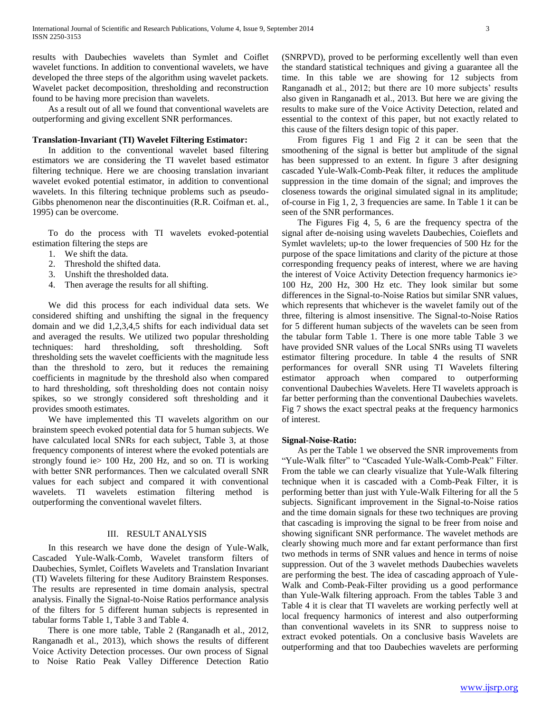results with Daubechies wavelets than Symlet and Coiflet wavelet functions. In addition to conventional wavelets, we have developed the three steps of the algorithm using wavelet packets. Wavelet packet decomposition, thresholding and reconstruction found to be having more precision than wavelets.

 As a result out of all we found that conventional wavelets are outperforming and giving excellent SNR performances.

# **Translation-Invariant (TI) Wavelet Filtering Estimator:**

 In addition to the conventional wavelet based filtering estimators we are considering the TI wavelet based estimator filtering technique. Here we are choosing translation invariant wavelet evoked potential estimator, in addition to conventional wavelets. In this filtering technique problems such as pseudo-Gibbs phenomenon near the discontinuities (R.R. Coifman et. al., 1995) can be overcome.

 To do the process with TI wavelets evoked-potential estimation filtering the steps are

- 1. We shift the data.
- 2. Threshold the shifted data.
- 3. Unshift the thresholded data.
- 4. Then average the results for all shifting.

 We did this process for each individual data sets. We considered shifting and unshifting the signal in the frequency domain and we did 1,2,3,4,5 shifts for each individual data set and averaged the results. We utilized two popular thresholding techniques: hard thresholding, soft thresholding. Soft thresholding sets the wavelet coefficients with the magnitude less than the threshold to zero, but it reduces the remaining coefficients in magnitude by the threshold also when compared to hard thresholding, soft thresholding does not contain noisy spikes, so we strongly considered soft thresholding and it provides smooth estimates.

 We have implemented this TI wavelets algorithm on our brainstem speech evoked potential data for 5 human subjects. We have calculated local SNRs for each subject, Table 3, at those frequency components of interest where the evoked potentials are strongly found ie> 100 Hz, 200 Hz, and so on. TI is working with better SNR performances. Then we calculated overall SNR values for each subject and compared it with conventional wavelets. TI wavelets estimation filtering method is outperforming the conventional wavelet filters.

#### III. RESULT ANALYSIS

 In this research we have done the design of Yule-Walk, Cascaded Yule-Walk-Comb, Wavelet transform filters of Daubechies, Symlet, Coiflets Wavelets and Translation Invariant (TI) Wavelets filtering for these Auditory Brainstem Responses. The results are represented in time domain analysis, spectral analysis. Finally the Signal-to-Noise Ratios performance analysis of the filters for 5 different human subjects is represented in tabular forms Table 1, Table 3 and Table 4.

 There is one more table, Table 2 (Ranganadh et al., 2012, Ranganadh et al., 2013), which shows the results of different Voice Activity Detection processes. Our own process of Signal to Noise Ratio Peak Valley Difference Detection Ratio

(SNRPVD), proved to be performing excellently well than even the standard statistical techniques and giving a guarantee all the time. In this table we are showing for 12 subjects from Ranganadh et al., 2012; but there are 10 more subjects' results also given in Ranganadh et al., 2013. But here we are giving the results to make sure of the Voice Activity Detection, related and essential to the context of this paper, but not exactly related to this cause of the filters design topic of this paper.

 From figures Fig 1 and Fig 2 it can be seen that the smoothening of the signal is better but amplitude of the signal has been suppressed to an extent. In figure 3 after designing cascaded Yule-Walk-Comb-Peak filter, it reduces the amplitude suppression in the time domain of the signal; and improves the closeness towards the original simulated signal in its amplitude; of-course in Fig 1, 2, 3 frequencies are same. In Table 1 it can be seen of the SNR performances.

 The Figures Fig 4, 5, 6 are the frequency spectra of the signal after de-noising using wavelets Daubechies, Coieflets and Symlet wavlelets; up-to the lower frequencies of 500 Hz for the purpose of the space limitations and clarity of the picture at those corresponding frequency peaks of interest, where we are having the interest of Voice Activity Detection frequency harmonics ie> 100 Hz, 200 Hz, 300 Hz etc. They look similar but some differences in the Signal-to-Noise Ratios but similar SNR values, which represents that whichever is the wavelet family out of the three, filtering is almost insensitive. The Signal-to-Noise Ratios for 5 different human subjects of the wavelets can be seen from the tabular form Table 1. There is one more table Table 3 we have provided SNR values of the Local SNRs using TI wavelets estimator filtering procedure. In table 4 the results of SNR performances for overall SNR using TI Wavelets filtering estimator approach when compared to outperforming conventional Daubechies Wavelets. Here TI wavelets approach is far better performing than the conventional Daubechies wavelets. Fig 7 shows the exact spectral peaks at the frequency harmonics of interest.

#### **Signal-Noise-Ratio:**

 As per the Table 1 we observed the SNR improvements from "Yule-Walk filter" to "Cascaded Yule-Walk-Comb-Peak" Filter. From the table we can clearly visualize that Yule-Walk filtering technique when it is cascaded with a Comb-Peak Filter, it is performing better than just with Yule-Walk Filtering for all the 5 subjects. Significant improvement in the Signal-to-Noise ratios and the time domain signals for these two techniques are proving that cascading is improving the signal to be freer from noise and showing significant SNR performance. The wavelet methods are clearly showing much more and far extant performance than first two methods in terms of SNR values and hence in terms of noise suppression. Out of the 3 wavelet methods Daubechies wavelets are performing the best. The idea of cascading approach of Yule-Walk and Comb-Peak-Filter providing us a good performance than Yule-Walk filtering approach. From the tables Table 3 and Table 4 it is clear that TI wavelets are working perfectly well at local frequency harmonics of interest and also outperforming than conventional wavelets in its SNR to suppress noise to extract evoked potentials. On a conclusive basis Wavelets are outperforming and that too Daubechies wavelets are performing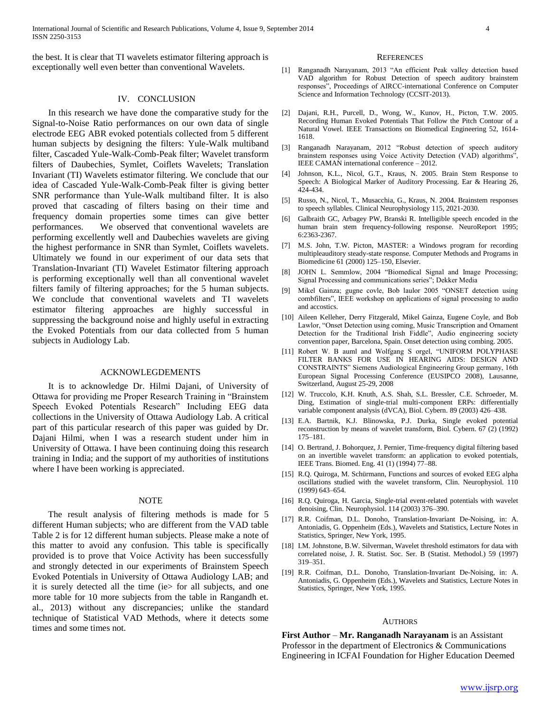the best. It is clear that TI wavelets estimator filtering approach is exceptionally well even better than conventional Wavelets.

### IV. CONCLUSION

 In this research we have done the comparative study for the Signal-to-Noise Ratio performances on our own data of single electrode EEG ABR evoked potentials collected from 5 different human subjects by designing the filters: Yule-Walk multiband filter, Cascaded Yule-Walk-Comb-Peak filter; Wavelet transform filters of Daubechies, Symlet, Coiflets Wavelets; Translation Invariant (TI) Wavelets estimator filtering. We conclude that our idea of Cascaded Yule-Walk-Comb-Peak filter is giving better SNR performance than Yule-Walk multiband filter. It is also proved that cascading of filters basing on their time and frequency domain properties some times can give better performances. We observed that conventional wavelets are performing excellently well and Daubechies wavelets are giving the highest performance in SNR than Symlet, Coiflets wavelets. Ultimately we found in our experiment of our data sets that Translation-Invariant (TI) Wavelet Estimator filtering approach is performing exceptionally well than all conventional wavelet filters family of filtering approaches; for the 5 human subjects. We conclude that conventional wavelets and TI wavelets estimator filtering approaches are highly successful in suppressing the background noise and highly useful in extracting the Evoked Potentials from our data collected from 5 human subjects in Audiology Lab.

#### ACKNOWLEGDEMENTS

 It is to acknowledge Dr. Hilmi Dajani, of University of Ottawa for providing me Proper Research Training in "Brainstem Speech Evoked Potentials Research" Including EEG data collections in the University of Ottawa Audiology Lab. A critical part of this particular research of this paper was guided by Dr. Dajani Hilmi, when I was a research student under him in University of Ottawa. I have been continuing doing this research training in India; and the support of my authorities of institutions where I have been working is appreciated.

#### NOTE

 The result analysis of filtering methods is made for 5 different Human subjects; who are different from the VAD table Table 2 is for 12 different human subjects. Please make a note of this matter to avoid any confusion. This table is specifically provided is to prove that Voice Activity has been successfully and strongly detected in our experiments of Brainstem Speech Evoked Potentials in University of Ottawa Audiology LAB; and it is surely detected all the time (ie> for all subjects, and one more table for 10 more subjects from the table in Rangandh et. al., 2013) without any discrepancies; unlike the standard technique of Statistical VAD Methods, where it detects some times and some times not.

#### **REFERENCES**

- [1] Ranganadh Narayanam, 2013 "An efficient Peak valley detection based VAD algorithm for Robust Detection of speech auditory brainstem responses", Proceedings of AIRCC-international Conference on Computer Science and Information Technology (CCSIT-2013).
- [2] Dajani, R.H., Purcell, D., Wong, W., Kunov, H., Picton, T.W. 2005. Recording Human Evoked Potentials That Follow the Pitch Contour of a Natural Vowel. IEEE Transactions on Biomedical Engineering 52, 1614- 1618.
- [3] Ranganadh Narayanam, 2012 "Robust detection of speech auditory brainstem responses using Voice Activity Detection (VAD) algorithms", IEEE CAMAN international conference – 2012.
- [4] Johnson, K.L., Nicol, G.T., Kraus, N. 2005. Brain Stem Response to Speech: A Biological Marker of Auditory Processing. Ear & Hearing 26, 424-434.
- [5] Russo, N., Nicol, T., Musacchia, G., Kraus, N. 2004. Brainstem responses to speech syllables. Clinical Neurophysiology 115, 2021-2030.
- [6] Galbraith GC, Arbagey PW, Branski R. Intelligible speech encoded in the human brain stem frequency-following response. NeuroReport 1995; 6:2363-2367.
- [7] M.S. John, T.W. Picton, MASTER: a Windows program for recording multipleauditory steady-state response. Computer Methods and Programs in Biomedicine 61 (2000) 125–150, Elsevier.
- [8] JOHN L. Semmlow, 2004 "Biomedical Signal and Image Processing; Signal Processing and communications series"; Dekker Media
- [9] Mikel Gainza; gugne covle, Bob laulor 2005 "ONSET detection using combfilters", IEEE workshop on applications of signal processing to audio and accostics.
- [10] Aileen Kelleher, Derry Fitzgerald, Mikel Gainza, Eugene Coyle, and Bob Lawlor, "Onset Detection using coming, Music Transcription and Ornament Detection for the Traditional Irish Fiddle", Audio engineering society convention paper, Barcelona, Spain. Onset detection using combing. 2005.
- [11] Robert W. B auml and Wolfgang S orgel, "UNIFORM POLYPHASE FILTER BANKS FOR USE IN HEARING AIDS: DESIGN AND CONSTRAINTS" Siemens Audiological Engineering Group germany, 16th European Signal Processing Conference (EUSIPCO 2008), Lausanne, Switzerland, August 25-29, 2008
- [12] W. Truccolo, K.H. Knuth, A.S. Shah, S.L. Bressler, C.E. Schroeder, M. Ding, Estimation of single-trial multi-component ERPs: differentially variable component analysis (dVCA), Biol. Cybern. 89 (2003) 426–438.
- [13] E.A. Bartnik, K.J. Blinowska, P.J. Durka, Single evoked potential reconstruction by means of wavelet transform, Biol. Cybern. 67 (2) (1992) 175–181.
- [14] O. Bertrand, J. Bohorquez, J. Pernier, Time-frequency digital filtering based on an invertible wavelet transform: an application to evoked potentials, IEEE Trans. Biomed. Eng. 41 (1) (1994) 77–88.
- [15] R.Q. Quiroga, M. Schürmann, Functions and sources of evoked EEG alpha oscillations studied with the wavelet transform, Clin. Neurophysiol. 110 (1999) 643–654.
- [16] R.Q. Quiroga, H. Garcia, Single-trial event-related potentials with wavelet denoising, Clin. Neurophysiol. 114 (2003) 376–390.
- [17] R.R. Coifman, D.L. Donoho, Translation-Invariant De-Noising, in: A. Antoniadis, G. Oppenheim (Eds.), Wavelets and Statistics, Lecture Notes in Statistics, Springer, New York, 1995.
- [18] I.M. Johnstone, B.W. Silverman, Wavelet threshold estimators for data with correlated noise, J. R. Statist. Soc. Ser. B (Statist. Methodol.) 59 (1997) 319–351.
- [19] R.R. Coifman, D.L. Donoho, Translation-Invariant De-Noising, in: A. Antoniadis, G. Oppenheim (Eds.), Wavelets and Statistics, Lecture Notes in Statistics, Springer, New York, 1995.

#### **AUTHORS**

**First Author** – **Mr. Ranganadh Narayanam** is an Assistant Professor in the department of Electronics & Communications Engineering in ICFAI Foundation for Higher Education Deemed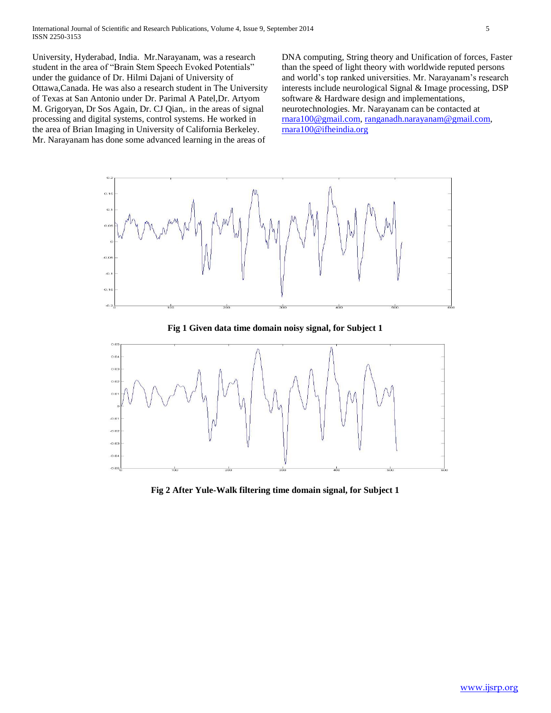University, Hyderabad, India. Mr.Narayanam, was a research student in the area of "Brain Stem Speech Evoked Potentials" under the guidance of Dr. Hilmi Dajani of University of Ottawa,Canada. He was also a research student in The University of Texas at San Antonio under Dr. Parimal A Patel,Dr. Artyom M. Grigoryan, Dr Sos Again, Dr. CJ Qian,. in the areas of signal processing and digital systems, control systems. He worked in the area of Brian Imaging in University of California Berkeley. Mr. Narayanam has done some advanced learning in the areas of

DNA computing, String theory and Unification of forces, Faster than the speed of light theory with worldwide reputed persons and world's top ranked universities. Mr. Narayanam's research interests include neurological Signal & Image processing, DSP software & Hardware design and implementations, neurotechnologies. Mr. Narayanam can be contacted at [rnara100@gmail.com,](mailto:rnara100@gmail.com) [ranganadh.narayanam@gmail.com,](mailto:ranganadh.narayanam@gmail.com) [rnara100@ifheindia.org](mailto:rnara100@ifheindia.org)



**Fig 1 Given data time domain noisy signal, for Subject 1**



**Fig 2 After Yule-Walk filtering time domain signal, for Subject 1**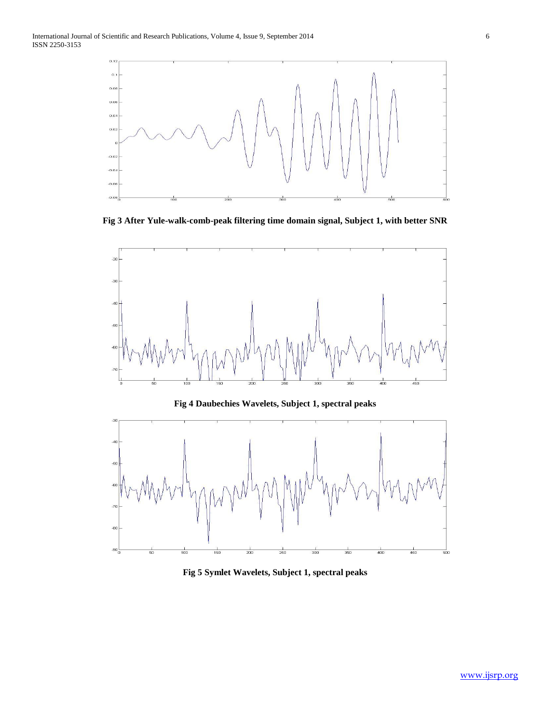.<br>Fil

 $-80$ 

 $-90$ 

 $rac{1}{100}$ 

50



**Fig 3 After Yule-walk-comb-peak filtering time domain signal, Subject 1, with better SNR**





 $300$ 

 $400$ 

 $450$ 

500

 $rac{1}{200}$ 

150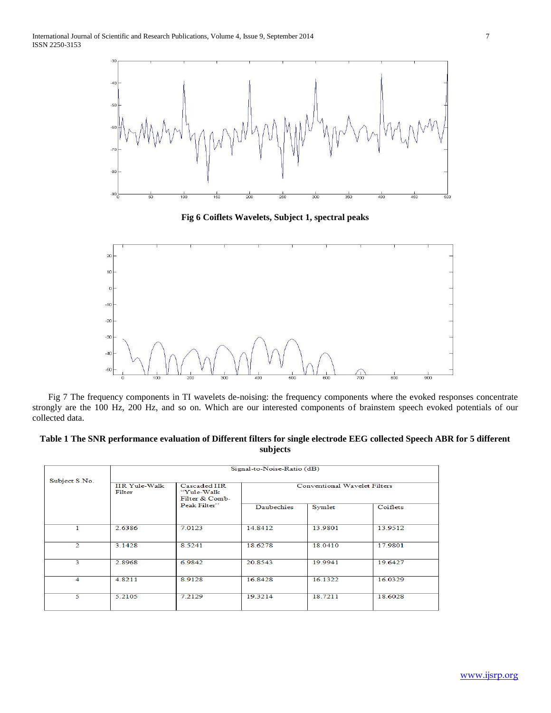

**Fig 6 Coiflets Wavelets, Subject 1, spectral peaks**



 Fig 7 The frequency components in TI wavelets de-noising: the frequency components where the evoked responses concentrate strongly are the 100 Hz, 200 Hz, and so on. Which are our interested components of brainstem speech evoked potentials of our collected data.

# **Table 1 The SNR performance evaluation of Different filters for single electrode EEG collected Speech ABR for 5 different subjects**

|                | Signal-to-Noise-Ratio (dB)     |                                              |                                     |         |          |  |
|----------------|--------------------------------|----------------------------------------------|-------------------------------------|---------|----------|--|
| Subject S.No.  | <b>IIR Yule-Walk</b><br>Filter | Cascaded IIR<br>"Yule-Walk<br>Filter & Comb- | <b>Conventional Wavelet Filters</b> |         |          |  |
|                |                                | Peak Filter"                                 | <b>Daubechies</b>                   | Symlet  | Coiflets |  |
| 1              | 2.6386                         | 7.0123                                       | 14.8412                             | 13.9801 | 13.9512  |  |
| $\overline{2}$ | 3.1428                         | 8.5241                                       | 18.6278                             | 18.0410 | 17.9801  |  |
| 3              | 2.8968                         | 6.9842                                       | 20.8543                             | 19.9941 | 19.6427  |  |
| 4              | 4.8211                         | 8.9128                                       | 16.8428                             | 16.1322 | 16.0329  |  |
| 5              | 5.2105                         | 7.2129                                       | 19.3214                             | 18.7211 | 18.6028  |  |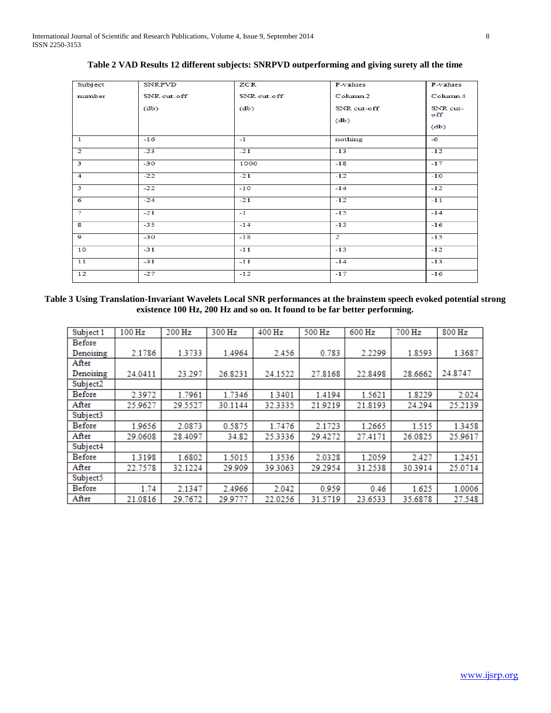| Subject                 | <b>SNRPVD</b> | ZCR           | P-values            | P-values        |
|-------------------------|---------------|---------------|---------------------|-----------------|
| number                  | SNR cut-off   | SNR cut-off   | Column <sub>2</sub> | Column 4        |
|                         | (db)          | (d <b>b</b> ) | SNR cut-off         | SNR cut-<br>off |
|                         |               |               | (db)                | (d <b>b</b> )   |
| $\mathbf{1}$            | $-16$         | $-1$          | nothing             | $-6$            |
| $\overline{2}$          | $-23$         | $-21$         | $-13$               | $-12$           |
| $\overline{\mathbf{3}}$ | $-30$         | 1000          | $-18$               | $-17$           |
| $\overline{4}$          | $-22$         | $-21$         | $-12$               | $-10$           |
| $\overline{5}$          | $-22$         | $-10$         | $-14$               | $-12$           |
| $\overline{6}$          | $-24$         | $-21$         | $-12$               | $-11$           |
| $\overline{\tau}$       | $-21$         | $-1$          | $-15$               | $-14$           |
| $\overline{\mathbf{s}}$ | $-35$         | $-14$         | $-13$               | $-16$           |
| $\overline{9}$          | $-30$         | $-18$         | $\overline{2}$      | $-15$           |
| 10                      | $-31$         | $-11$         | $-13$               | $-12$           |
| 11                      | $-31$         | $-11$         | $-14$               | $-13$           |
| 12                      | $-27$         | $-12$         | $-17$               | $-16$           |

**Table 2 VAD Results 12 different subjects: SNRPVD outperforming and giving surety all the time**

# **Table 3 Using Translation-Invariant Wavelets Local SNR performances at the brainstem speech evoked potential strong existence 100 Hz, 200 Hz and so on. It found to be far better performing.**

| Subject 1            | 100 Hz  | 200 Hz  | 300 Hz  | 400 Hz  | 500 Hz  | 600 Hz  | 700 Hz  | 800 Hz  |
|----------------------|---------|---------|---------|---------|---------|---------|---------|---------|
| Before               |         |         |         |         |         |         |         |         |
| Denoising            | 2.1786  | 1.3733  | 1.4964  | 2.456   | 0.783   | 2.2299  | 1.8593  | 1.3687  |
| After                |         |         |         |         |         |         |         |         |
| Denoising            | 24.0411 | 23.297  | 26.8231 | 24.1522 | 27.8168 | 22.8498 | 28.6662 | 24.8747 |
| Subject <sub>2</sub> |         |         |         |         |         |         |         |         |
| <b>Before</b>        | 2.3972  | 1.7961  | 1.7346  | 1.3401  | 1.4194  | 1.5621  | 1.8229  | 2.024   |
| After                | 25.9627 | 29.5527 | 30.1144 | 32.3335 | 21.9219 | 21.8193 | 24.294  | 25.2139 |
| Subject3             |         |         |         |         |         |         |         |         |
| <b>Before</b>        | 1.9656  | 2.0873  | 0.5875  | 1.7476  | 2.1723  | 1.2665  | 1.515   | 1.3458  |
| After                | 29.0608 | 28.4097 | 34.82   | 25.3336 | 29.4272 | 27.4171 | 26.0825 | 25.9617 |
| Subject4             |         |         |         |         |         |         |         |         |
| Before               | 1.3198  | 1.6802  | 1.5015  | 1.3536  | 2.0328  | 1.2059  | 2.427   | 1.2451  |
| After                | 22.7578 | 32.1224 | 29.909  | 39.3063 | 29.2954 | 31.2538 | 30.3914 | 25.0714 |
| Subject5             |         |         |         |         |         |         |         |         |
| Before               | 1.74    | 2.1347  | 2.4966  | 2.042   | 0.959   | 0.46    | 1.625   | 1.0006  |
| After                | 21.0816 | 29.7672 | 29.9777 | 22.0256 | 31.5719 | 23.6533 | 35.6878 | 27.548  |